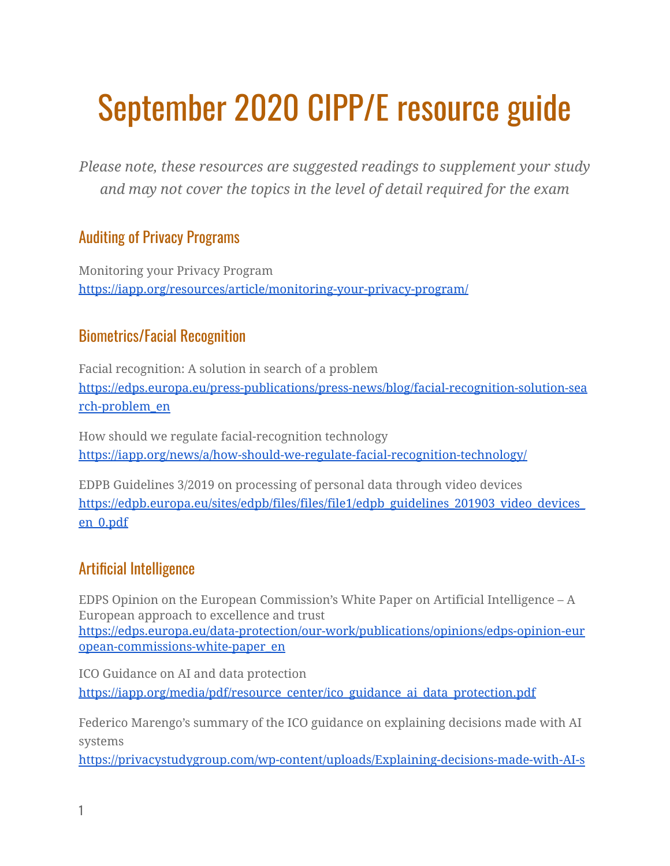# September 2020 CIPP/E resource guide

*Please note, these resources are suggested readings to supplement your study and may not cover the topics in the level of detail required for the exam*

## Auditing of Privacy Programs

Monitoring your Privacy Program <https://iapp.org/resources/article/monitoring-your-privacy-program/>

## Biometrics/Facial Recognition

Facial recognition: A solution in search of a problem [https://edps.europa.eu/press-publications/press-news/blog/facial-recognition-solution-sea](https://edps.europa.eu/press-publications/press-news/blog/facial-recognition-solution-search-problem_en) [rch-problem\\_en](https://edps.europa.eu/press-publications/press-news/blog/facial-recognition-solution-search-problem_en)

How should we regulate facial-recognition technology <https://iapp.org/news/a/how-should-we-regulate-facial-recognition-technology/>

EDPB Guidelines 3/2019 on processing of personal data through video devices [https://edpb.europa.eu/sites/edpb/files/files/file1/edpb\\_guidelines\\_201903\\_video\\_devices\\_](https://edpb.europa.eu/sites/edpb/files/files/file1/edpb_guidelines_201903_video_devices_en_0.pdf) [en\\_0.pdf](https://edpb.europa.eu/sites/edpb/files/files/file1/edpb_guidelines_201903_video_devices_en_0.pdf)

# Artificial Intelligence

EDPS Opinion on the European Commission's White Paper on Artificial Intelligence – A European approach to excellence and trust [https://edps.europa.eu/data-protection/our-work/publications/opinions/edps-opinion-eur](https://edps.europa.eu/data-protection/our-work/publications/opinions/edps-opinion-european-commissions-white-paper_en) [opean-commissions-white-paper\\_en](https://edps.europa.eu/data-protection/our-work/publications/opinions/edps-opinion-european-commissions-white-paper_en)

ICO Guidance on AI and data protection [https://iapp.org/media/pdf/resource\\_center/ico\\_guidance\\_ai\\_data\\_protection.pdf](https://iapp.org/media/pdf/resource_center/ico_guidance_ai_data_protection.pdf)

Federico Marengo's summary of the ICO guidance on explaining decisions made with AI systems

[https://privacystudygroup.com/wp-content/uploads/Explaining-decisions-made-with-AI-s](https://privacystudygroup.com/wp-content/uploads/Explaining-decisions-made-with-AI-systems-by-Federico-Marengo-summary-of-ICO-guide-2.pdf)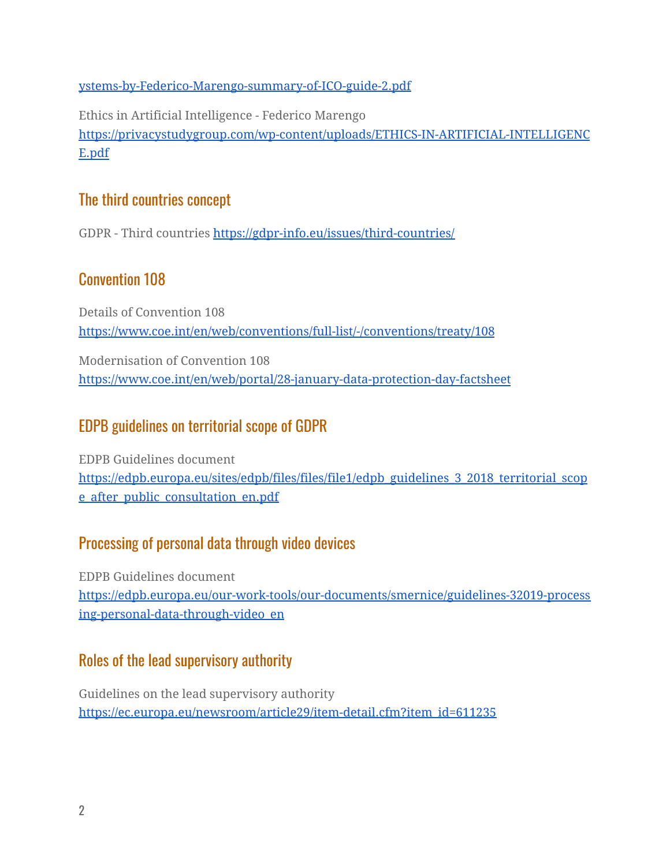[ystems-by-Federico-Marengo-summary-of-ICO-guide-2.pdf](https://privacystudygroup.com/wp-content/uploads/Explaining-decisions-made-with-AI-systems-by-Federico-Marengo-summary-of-ICO-guide-2.pdf)

Ethics in Artificial Intelligence - Federico Marengo [https://privacystudygroup.com/wp-content/uploads/ETHICS-IN-ARTIFICIAL-INTELLIGENC](https://privacystudygroup.com/wp-content/uploads/ETHICS-IN-ARTIFICIAL-INTELLIGENCE.pdf) [E.pdf](https://privacystudygroup.com/wp-content/uploads/ETHICS-IN-ARTIFICIAL-INTELLIGENCE.pdf)

#### The third countries concept

GDPR - Third countries <https://gdpr-info.eu/issues/third-countries/>

## Convention 108

Details of Convention 108 <https://www.coe.int/en/web/conventions/full-list/-/conventions/treaty/108>

Modernisation of Convention 108 <https://www.coe.int/en/web/portal/28-january-data-protection-day-factsheet>

## EDPB guidelines on territorial scope of GDPR

EDPB Guidelines document [https://edpb.europa.eu/sites/edpb/files/files/file1/edpb\\_guidelines\\_3\\_2018\\_territorial\\_scop](https://edpb.europa.eu/sites/edpb/files/files/file1/edpb_guidelines_3_2018_territorial_scope_after_public_consultation_en.pdf) [e\\_after\\_public\\_consultation\\_en.pdf](https://edpb.europa.eu/sites/edpb/files/files/file1/edpb_guidelines_3_2018_territorial_scope_after_public_consultation_en.pdf)

## Processing of personal data through video devices

EDPB Guidelines document [https://edpb.europa.eu/our-work-tools/our-documents/smernice/guidelines-32019-process](https://edpb.europa.eu/our-work-tools/our-documents/smernice/guidelines-32019-processing-personal-data-through-video_en) [ing-personal-data-through-video\\_en](https://edpb.europa.eu/our-work-tools/our-documents/smernice/guidelines-32019-processing-personal-data-through-video_en)

## Roles of the lead supervisory authority

Guidelines on the lead supervisory authority [https://ec.europa.eu/newsroom/article29/item-detail.cfm?item\\_id=611235](https://ec.europa.eu/newsroom/article29/item-detail.cfm?item_id=611235)